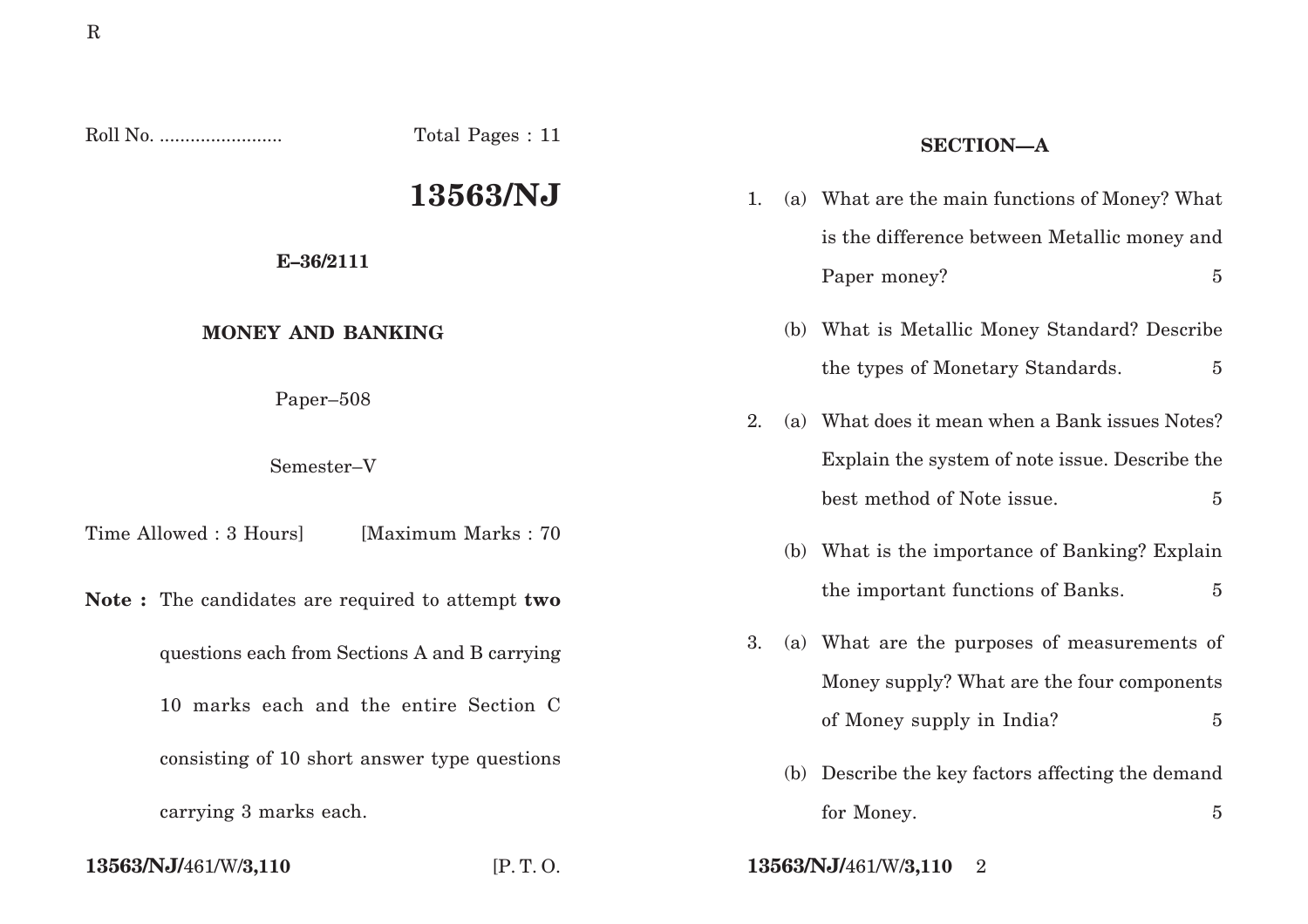| Roll No.                                                                                | Total Pages : 11                                 | <b>SECTION-A</b> |     |                                                   |                |
|-----------------------------------------------------------------------------------------|--------------------------------------------------|------------------|-----|---------------------------------------------------|----------------|
|                                                                                         | 13563/NJ                                         | 1.               |     | (a) What are the main functions of Money? What    |                |
| E-36/2111                                                                               |                                                  |                  |     | is the difference between Metallic money and      |                |
|                                                                                         |                                                  |                  |     | Paper money?                                      | $\overline{5}$ |
| <b>MONEY AND BANKING</b>                                                                |                                                  |                  |     | (b) What is Metallic Money Standard? Describe     |                |
|                                                                                         |                                                  |                  |     | the types of Monetary Standards.                  | $\overline{5}$ |
| Paper-508                                                                               |                                                  | 2.               | (a) | What does it mean when a Bank issues Notes?       |                |
| Semester-V                                                                              |                                                  |                  |     | Explain the system of note issue. Describe the    |                |
|                                                                                         |                                                  |                  |     | best method of Note issue.                        | $\overline{5}$ |
| Time Allowed: 3 Hours]                                                                  | [Maximum Marks: 70]                              |                  |     | (b) What is the importance of Banking? Explain    |                |
|                                                                                         | Note: The candidates are required to attempt two |                  |     | the important functions of Banks.                 | $\overline{5}$ |
| questions each from Sections A and B carrying<br>10 marks each and the entire Section C |                                                  | 3.               |     | (a) What are the purposes of measurements of      |                |
|                                                                                         |                                                  |                  |     | Money supply? What are the four components        |                |
|                                                                                         |                                                  |                  |     | of Money supply in India?                         | $\overline{5}$ |
| consisting of 10 short answer type questions                                            |                                                  |                  |     | (b) Describe the key factors affecting the demand |                |
| carrying 3 marks each.                                                                  |                                                  |                  |     | for Money.                                        | $\overline{5}$ |
|                                                                                         |                                                  |                  |     |                                                   |                |

# **13563/NJ/**461/W/**3,110** [P. T. O. **13563/NJ/**461/W/**3,110** 2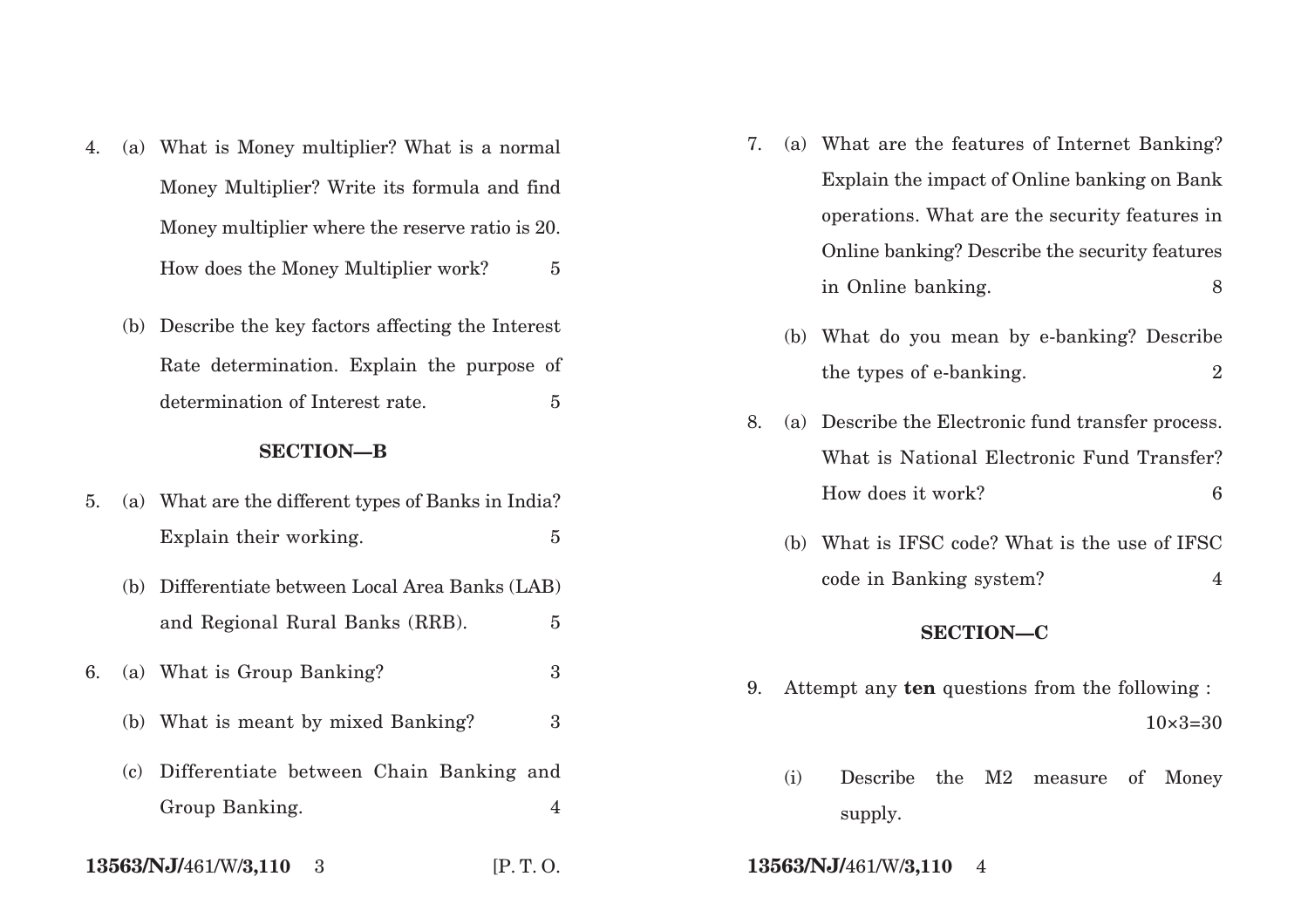- 4. (a) What is Money multiplier? What is a normal Money Multiplier? Write its formula and find Money multiplier where the reserve ratio is 20. How does the Money Multiplier work? 5
	- (b) Describe the key factors affecting the Interest Rate determination. Explain the purpose of determination of Interest rate. 5

## **SECTION—B**

| 5. |     | (a) What are the different types of Banks in India? |  |  |  |  |
|----|-----|-----------------------------------------------------|--|--|--|--|
|    |     | Explain their working.<br>5                         |  |  |  |  |
|    |     | (b) Differentiate between Local Area Banks (LAB)    |  |  |  |  |
|    |     | and Regional Rural Banks (RRB).<br>5                |  |  |  |  |
| 6. |     | (a) What is Group Banking?<br>3                     |  |  |  |  |
|    |     | (b) What is meant by mixed Banking?<br>3            |  |  |  |  |
|    | (c) | Differentiate between Chain Banking and             |  |  |  |  |
|    |     | Group Banking.<br>4                                 |  |  |  |  |
|    |     |                                                     |  |  |  |  |

**13563/NJ/**461/W/**3,110** 3 [P. T. O. **13563/NJ/**461/W/**3,110** 4

- 7. (a) What are the features of Internet Banking? Explain the impact of Online banking on Bank operations. What are the security features in Online banking? Describe the security features in Online banking.
	- (b) What do you mean by e-banking? Describe the types of e-banking. 2
- 8. (a) Describe the Electronic fund transfer process. What is National Electronic Fund Transfer? How does it work? 6
	- (b) What is IFSC code? What is the use of IFSC code in Banking system? 4

# **SECTION—C**

- 9. Attempt any **ten** questions from the following :  $10\times3=30$ 
	- (i) Describe the M2 measure of Money supply.
-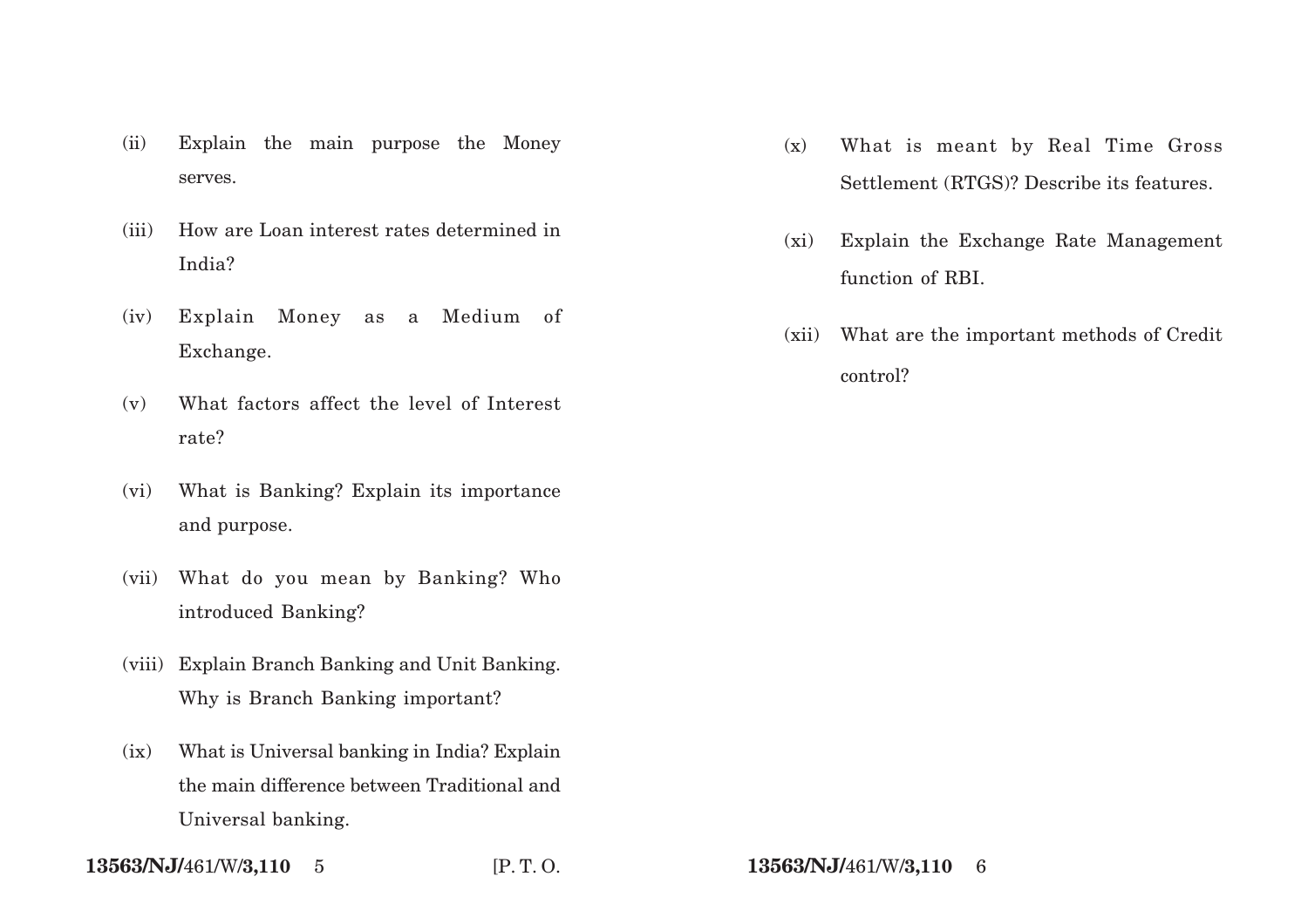- (ii) Explain the main purpose the Money serves.
- (iii) How are Loan interest rates determined in India?
- (iv) Explain Money as a Medium of Exchange.
- (v) What factors affect the level of Interest rate?
- (vi) What is Banking? Explain its importance and purpose.
- (vii) What do you mean by Banking? Who introduced Banking?
- (viii) Explain Branch Banking and Unit Banking. Why is Branch Banking important?
- (ix) What is Universal banking in India? Explain the main difference between Traditional and Universal banking.
- **13563/NJ/**461/W/**3,110** 5 [P. T. O. **13563/NJ/**461/W/**3,110** 6
- (x) What is meant by Real Time Gross Settlement (RTGS)? Describe its features.
- (xi) Explain the Exchange Rate Management function of RBI.
- (xii) What are the important methods of Credit control?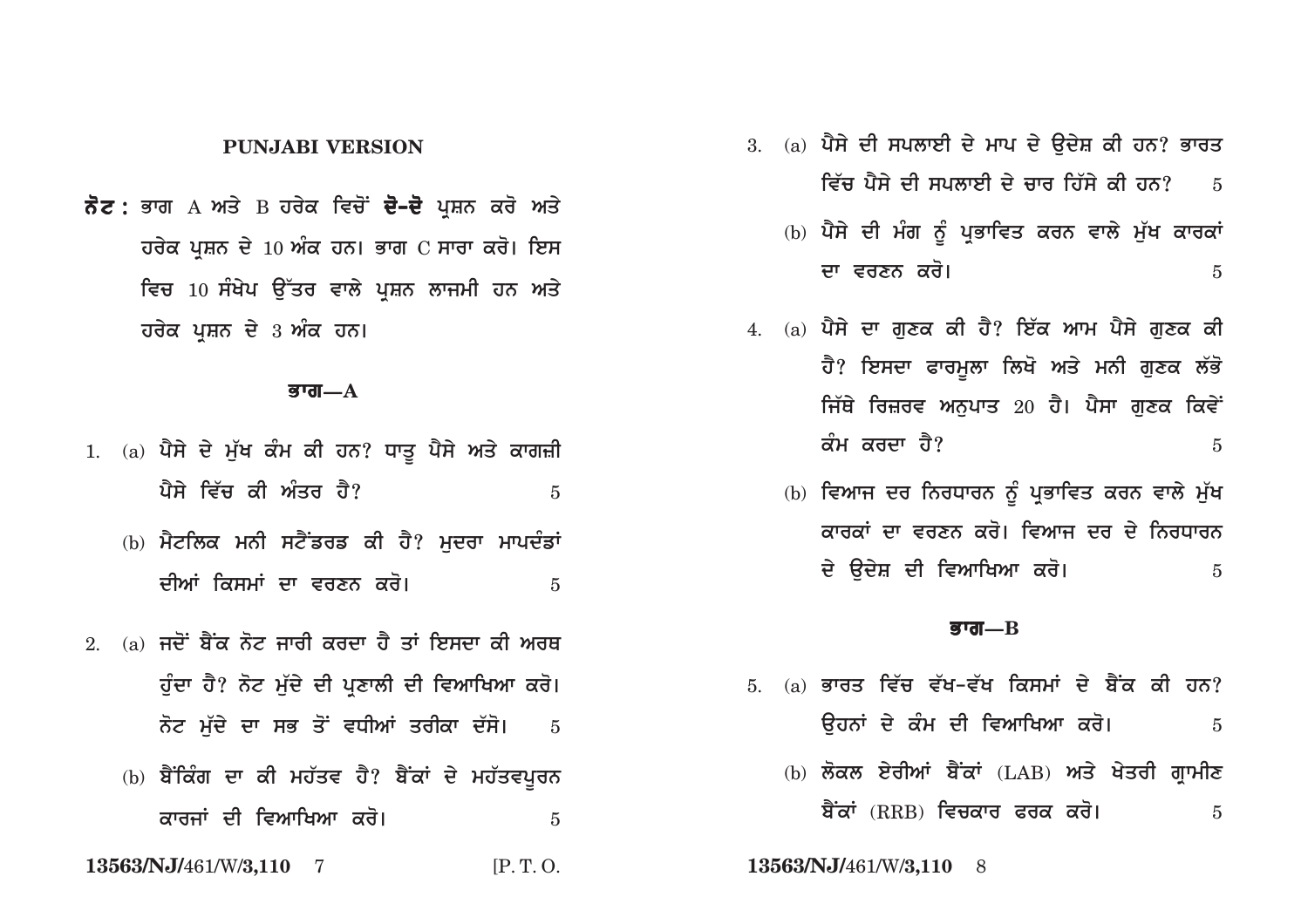## **PUNJABI VERSION**

ਨੋਟ : ਭਾਗ A ਅਤੇ B ਹਰੇਕ ਵਿਚੋਂ **ਦੋ–ਦੋ** ਪਸ਼ਨ ਕਰੋ ਅਤੇ ਹਰੇਕ ਪਸ਼ਨ ਦੇ 10 ਅੰਕ ਹਨ। ਭਾਗ C ਸਾਰਾ ਕਰੋ। ਇਸ ਵਿਚ 10 ਸੰਖੇਪ ਉੱਤਰ ਵਾਲੇ ਪਸ਼ਨ ਲਾਜਮੀ ਹਨ ਅਤੇ ਹਰੇਕ ਪੁਸ਼ਨ ਦੇ 3 ਅੰਕ ਹਨ।

### ਭਾਗ $-A$

- 1. (a) ਪੈਸੇ ਦੇ ਮੁੱਖ ਕੰਮ ਕੀ ਹਨ? ਧਾਤੂ ਪੈਸੇ ਅਤੇ ਕਾਗਜ਼ੀ ਪੈਸੇ ਵਿੱਚ ਕੀ ਅੰਤਰ ਹੈ?  $\overline{5}$ 
	- (b) ਮੈਟਲਿਕ ਮਨੀ ਸਟੈਂਡਰਡ ਕੀ ਹੈ? ਮਦਰਾ ਮਾਪਦੰਡਾਂ ਦੀਆਂ ਕਿਸਮਾਂ ਦਾ ਵਰਣਨ ਕਰੋ।  $\overline{5}$
- 2. (a) ਜਦੋਂ ਬੈਂਕ ਨੋਟ ਜਾਰੀ ਕਰਦਾ ਹੈ ਤਾਂ ਇਸਦਾ ਕੀ ਅਰਥ ਹੁੰਦਾ ਹੈ? ਨੋਟ ਮੁੱਦੇ ਦੀ ਪ੍ਰਣਾਲੀ ਦੀ ਵਿਆਖਿਆ ਕਰੋ। ਨੋਟ ਮੱਦੇ ਦਾ ਸਭ ਤੋਂ ਵਧੀਆਂ ਤਰੀਕਾ ਦੱਸੋ।  $\overline{5}$ 
	- (b) ਬੈਂਕਿੰਗ ਦਾ ਕੀ ਮਹੱਤਵ ਹੈ? ਬੈਂਕਾਂ ਦੇ ਮਹੱਤਵਪੂਰਨ ਕਾਰਜਾਂ ਦੀ ਵਿਆਖਿਆ ਕਰੋ।  $\overline{5}$
- 13563/NJ/461/W/3,110 7  $IP. T. O.$
- $3.$  (a) ਪੈਸੇ ਦੀ ਸਪਲਾਈ ਦੇ ਮਾਪ ਦੇ ਉਦੇਸ਼ ਕੀ ਹਨ? ਭਾਰਤ ਵਿੱਚ ਪੈਸੇ ਦੀ ਸਪਲਾਈ ਦੇ ਚਾਰ ਹਿੱਸੇ ਕੀ ਹਨ?  $\overline{5}$ 
	- (b) ਪੈਸੇ ਦੀ ਮੰਗ ਨੂੰ ਪ੍ਰਭਾਵਿਤ ਕਰਨ ਵਾਲੇ ਮੁੱਖ ਕਾਰਕਾਂ ਦਾ ਵਰਣਨ ਕਰੋ।  $\overline{5}$
- 4. (a) ਪੈਸੇ ਦਾ ਗਣਕ ਕੀ ਹੈ? ਇੱਕ ਆਮ ਪੈਸੇ ਗਣਕ ਕੀ ਹੈ? ਇਸਦਾ ਫਾਰਮੁਲਾ ਲਿਖੋ ਅਤੇ ਮਨੀ ਗੁਣਕ ਲੱਭੋ ਜਿੱਥੇ ਰਿਜ਼ਰਵ ਅਨਪਾਤ 20 ਹੈ। ਪੈਸਾ ਗਣਕ ਕਿਵੇ<del>ਂ</del> ਕੰਮ ਕਰਦਾ ਹੈ?  $\overline{5}$ 
	- (b) ਵਿਆਜ ਦਰ ਨਿਰਧਾਰਨ ਨੂੰ ਪ੍ਰਭਾਵਿਤ ਕਰਨ ਵਾਲੇ ਮੁੱਖ ਕਾਰਕਾਂ ਦਾ ਵਰਣਨ ਕਰੋ। ਵਿਆਜ ਦਰ ਦੇ ਨਿਰਧਾਰਨ ਦੇ ੳਦੇਸ਼ ਦੀ ਵਿਆਖਿਆ ਕਰੋ।  $\overline{5}$

### बग्त $\equiv$  ${\rm R}$

- 5 (a) ਭਾਰਤ ਵਿੱਚ ਵੱਖ-ਵੱਖ ਕਿਸਮਾਂ ਦੇ ਬੈਂਕ ਕੀ ਹਨ? ਉਹਨਾਂ ਦੇ ਕੰਮ ਦੀ ਵਿਆਖਿਆ ਕਰੋ।  $\overline{5}$ 
	- (b) ਲੋਕਲ ਏਰੀਆਂ ਬੈਂਕਾਂ (LAB) ਅਤੇ ਖੇਤਰੀ ਗੁਾਮੀਣ ਬੈਂਕਾਂ (RRB) ਵਿਚਕਾਰ ਫਰਕ ਕਰੋ।  $\overline{5}$

13563/NJ/461/W/3,110 8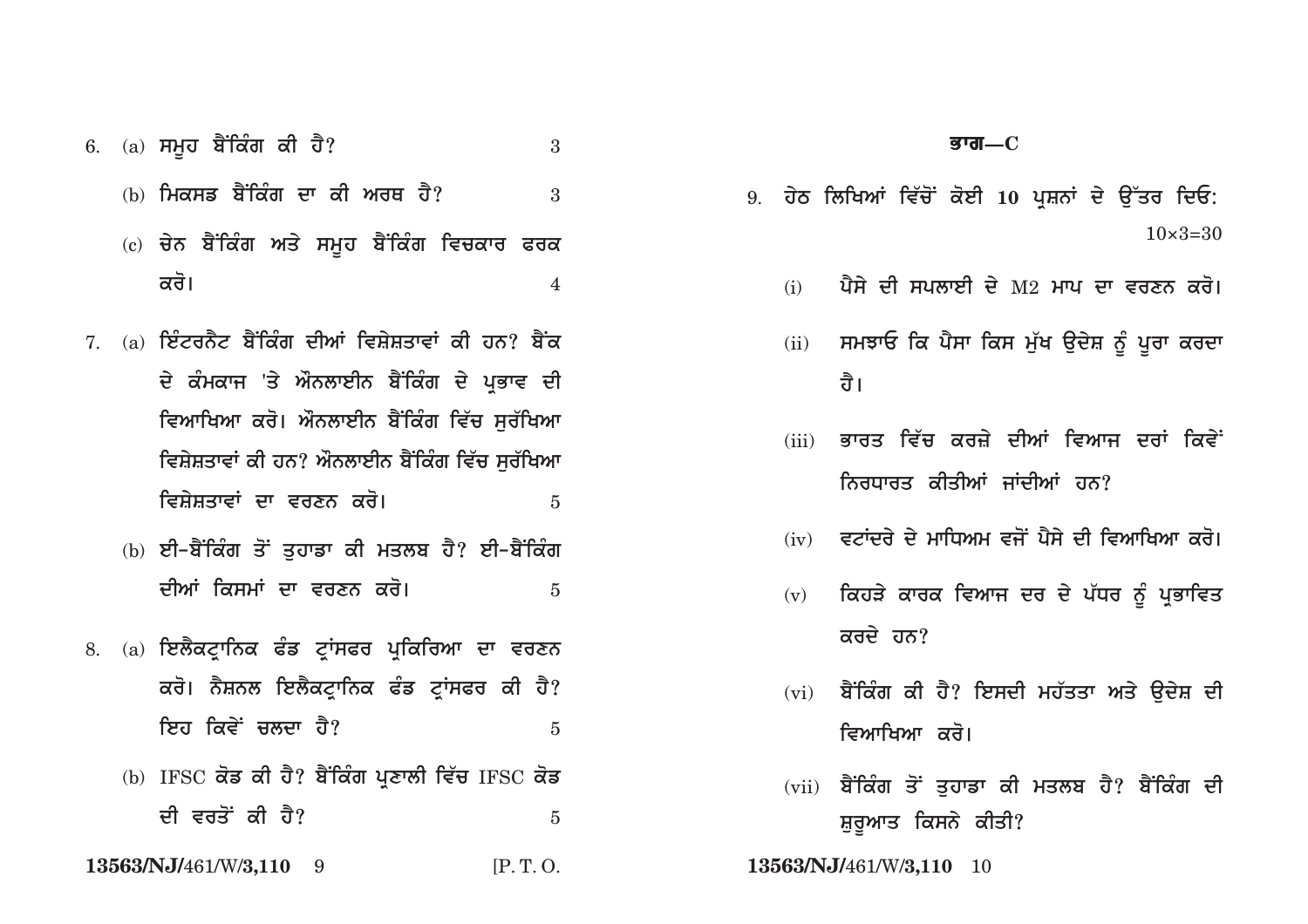- 6. (a) ਸਮੂਹ ਬੈਂਕਿੰਗ ਕੀ ਹੈ?
	- (b) ਮਿਕਸਡ ਬੈਂਕਿੰਗ ਦਾ ਕੀ ਅਰਥ ਹੈ?
	- (c) ਚੇਨ ਬੈਂਕਿੰਗ ਅਤੇ ਸਮੂਹ ਬੈਂਕਿੰਗ ਵਿਚਕਾਰ ਫਰਕ ਕਰੋ।  $\overline{\mathcal{A}}$

 $\mathcal{S}$ 

 $\mathcal{S}$ 

- $7(a)$  ਟਿੰਟਰਨੈਟ ਬੈਂਕਿੰਗ ਦੀਆਂ ਵਿਸ਼ੇਸ਼ਤਾਵਾਂ ਕੀ ਹਨ? ਬੈਂਕ ਦੇ ਕੰਮਕਾਜ 'ਤੇ ਔਨਲਾਈਨ ਬੈਂਕਿੰਗ ਦੇ ਪ੍ਰਭਾਵ ਦੀ ਵਿਆਖਿਆ ਕਰੋ। ਔਨਲਾਈਨ ਬੈਂਕਿੰਗ ਵਿੱਚ ਸਰੱਖਿਆ ਵਿਸ਼ੇਸ਼ਤਾਵਾਂ ਕੀ ਹਨ? ਔਨਲਾਈਨ ਬੈਂਕਿੰਗ ਵਿੱਚ ਸਰੱਖਿਆ ਵਿਸ਼ੇਸ਼ਤਾਵਾਂ ਦਾ ਵਰਣਨ ਕਰੋ।  $\overline{5}$ 
	- (b) ਈ–ਬੈਂਕਿੰਗ ਤੋਂ ਤਹਾਡਾ ਕੀ ਮਤਲਬ ਹੈ? ਈ–ਬੈਂਕਿੰਗ ਦੀਆਂ ਕਿਸਮਾਂ ਦਾ ਵਰਣਨ ਕਰੋ।  $\overline{5}$
- 8. (a) ਇਲੈਕਟਾਨਿਕ ਫੰਡ ਟਾਂਸਫਰ ਪਕਿਰਿਆ ਦਾ ਵਰਣਨ ਕਰੋ। ਨੈਸ਼ਨਲ ਇਲੈਕਟਾਨਿਕ ਫੰਡ ਟਾਂਸਫਰ ਕੀ ਹੈ? ਇਹ ਕਿਵੇਂ ਚਲਦਾ **ਹੈ**?  $\overline{5}$ 
	- (b) IFSC ਕੋਡ ਕੀ ਹੈ? ਬੈਂਕਿੰਗ ਪ੍ਰਣਾਲੀ ਵਿੱਚ IFSC ਕੋਡ ਦੀ ਵਰਤੋਂ ਕੀ ਹੈ?  $\overline{5}$
- 13563/NJ/461/W/3,110 9  $IP.T.O.$
- 9. ਹੇਠ ਲਿਖਿਆਂ ਵਿੱਚੋਂ ਕੋਈ 10 ਪਸ਼ਨਾਂ ਦੇ ੳੱਤਰ ਦਿਓ:  $10 \times 3 = 30$ 
	- ਪੈਸੇ ਦੀ ਸਪਲਾਈ ਦੇ M2 ਮਾਪ ਦਾ ਵਰਣਨ ਕਰੋ।  $(i)$
	- (ii) ਸਮਝਾਓ ਕਿ ਪੈਸਾ ਕਿਸ ਮੁੱਖ ਉਦੇਸ਼ ਨੂੰ ਪੂਰਾ ਕਰਦਾ ਰੈ।
	- ਭਾਰਤ ਵਿੱਚ ਕਰਜ਼ੇ ਦੀਆਂ ਵਿਆਜ ਦਰਾਂ ਕਿਵੇ<sup>:</sup>  $(iii)$ ਨਿਰਧਾਰਤ ਕੀਤੀਆਂ ਜਾਂਦੀਆਂ ਹਨ?
	- $(iv)$  ਵਟਾਂਦਰੇ ਦੇ ਮਾਧਿਅਮ ਵਜੋਂ ਪੈਸੇ ਦੀ ਵਿਆਖਿਆ ਕਰੋ।
	- (v) ਕਿਹੜੇ ਕਾਰਕ ਵਿਆਜ ਦਰ ਦੇ ਪੱਧਰ ਨੂੰ ਪ੍ਰਭਾਵਿਤ ਕਰਦੇ ਹਨ?
	- (vi) ਬੈਂਕਿੰਗ ਕੀ ਹੈ? ਇਸਦੀ ਮਹੱਤਤਾ ਅਤੇ ਉਦੇਸ਼ ਦੀ *ਵਿਆਖਿਆ ਕ*ਰੋ।
	- (vii) ਬੈਂਕਿੰਗ ਤੋਂ ਤੁਹਾਡਾ ਕੀ ਮਤਲਬ ਹੈ? ਬੈਂਕਿੰਗ ਦੀ ਸ਼ੁਰੂਆਤ ਕਿਸਨੇ ਕੀਤੀ?
- 13563/NJ/461/W/3,110 10